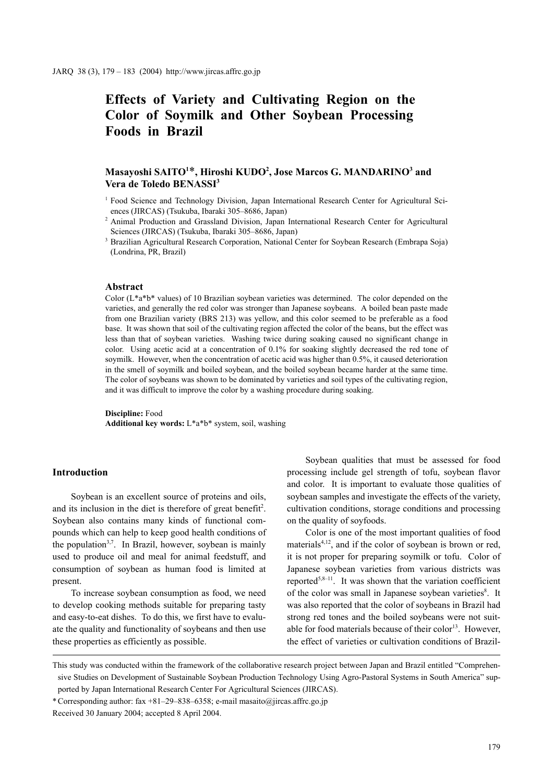# **Effects of Variety and Cultivating Region on the Color of Soymilk and Other Soybean Processing Foods in Brazil**

## $M$ asayoshi SAITO<sup>1\*</sup>, Hiroshi KUDO<sup>2</sup>, Jose Marcos G. MANDARINO<sup>3</sup> and **Vera de Toledo BENASSI3**

- <sup>1</sup> Food Science and Technology Division, Japan International Research Center for Agricultural Sciences (JIRCAS) (Tsukuba, Ibaraki 305–8686, Japan)
- <sup>2</sup> Animal Production and Grassland Division, Japan International Research Center for Agricultural Sciences (JIRCAS) (Tsukuba, Ibaraki 305–8686, Japan)
- <sup>3</sup> Brazilian Agricultural Research Corporation, National Center for Soybean Research (Embrapa Soja) (Londrina, PR, Brazil)

#### **Abstract**

Color  $(L^*a^*b^*$  values) of 10 Brazilian soybean varieties was determined. The color depended on the varieties, and generally the red color was stronger than Japanese soybeans. A boiled bean paste made from one Brazilian variety (BRS 213) was yellow, and this color seemed to be preferable as a food base. It was shown that soil of the cultivating region affected the color of the beans, but the effect was less than that of soybean varieties. Washing twice during soaking caused no significant change in color. Using acetic acid at a concentration of 0.1% for soaking slightly decreased the red tone of soymilk. However, when the concentration of acetic acid was higher than 0.5%, it caused deterioration in the smell of soymilk and boiled soybean, and the boiled soybean became harder at the same time. The color of soybeans was shown to be dominated by varieties and soil types of the cultivating region, and it was difficult to improve the color by a washing procedure during soaking.

**Discipline:** Food **Additional key words:** L\*a\*b\* system, soil, washing

## **Introduction**

Soybean is an excellent source of proteins and oils, and its inclusion in the diet is therefore of great benefit<sup>2</sup>. Soybean also contains many kinds of functional compounds which can help to keep good health conditions of the population<sup>3,7</sup>. In Brazil, however, soybean is mainly used to produce oil and meal for animal feedstuff, and consumption of soybean as human food is limited at present.

To increase soybean consumption as food, we need to develop cooking methods suitable for preparing tasty and easy-to-eat dishes. To do this, we first have to evaluate the quality and functionality of soybeans and then use these properties as efficiently as possible.

Soybean qualities that must be assessed for food processing include gel strength of tofu, soybean flavor and color. It is important to evaluate those qualities of soybean samples and investigate the effects of the variety, cultivation conditions, storage conditions and processing on the quality of soyfoods.

Color is one of the most important qualities of food materials<sup>4,12</sup>, and if the color of soybean is brown or red, it is not proper for preparing soymilk or tofu. Color of Japanese soybean varieties from various districts was reported<sup>5,8-11</sup>. It was shown that the variation coefficient of the color was small in Japanese soybean varieties<sup>8</sup>. It was also reported that the color of soybeans in Brazil had strong red tones and the boiled soybeans were not suitable for food materials because of their color $13$ . However, the effect of varieties or cultivation conditions of Brazil-

\* Corresponding author: fax +81–29–838–6358; e-mail masaito@jircas.affrc.go.jp

This study was conducted within the framework of the collaborative research project between Japan and Brazil entitled "Comprehensive Studies on Development of Sustainable Soybean Production Technology Using Agro-Pastoral Systems in South America" supported by Japan International Research Center For Agricultural Sciences (JIRCAS).

Received 30 January 2004; accepted 8 April 2004.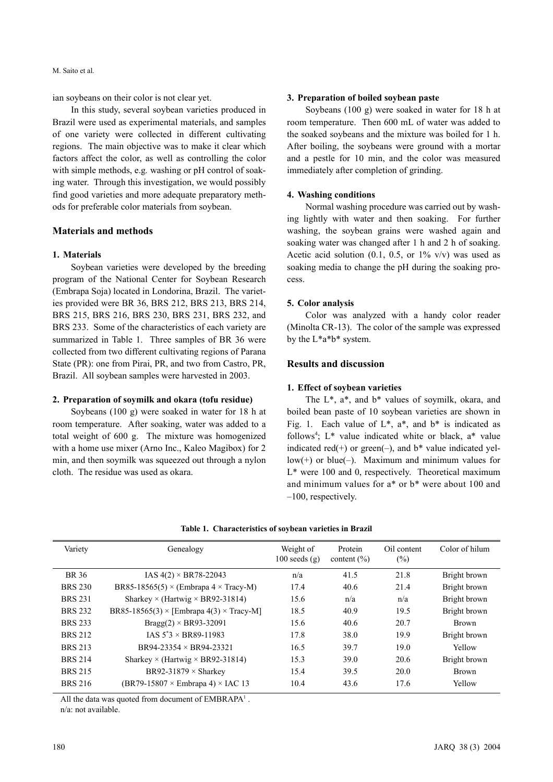M. Saito et al.

ian soybeans on their color is not clear yet.

In this study, several soybean varieties produced in Brazil were used as experimental materials, and samples of one variety were collected in different cultivating regions. The main objective was to make it clear which factors affect the color, as well as controlling the color with simple methods, e.g. washing or pH control of soaking water. Through this investigation, we would possibly find good varieties and more adequate preparatory methods for preferable color materials from soybean.

## **Materials and methods**

#### **1. Materials**

Soybean varieties were developed by the breeding program of the National Center for Soybean Research (Embrapa Soja) located in Londorina, Brazil. The varieties provided were BR 36, BRS 212, BRS 213, BRS 214, BRS 215, BRS 216, BRS 230, BRS 231, BRS 232, and BRS 233. Some of the characteristics of each variety are summarized in Table 1. Three samples of BR 36 were collected from two different cultivating regions of Parana State (PR): one from Pirai, PR, and two from Castro, PR, Brazil. All soybean samples were harvested in 2003.

## **2. Preparation of soymilk and okara (tofu residue)**

Soybeans (100 g) were soaked in water for 18 h at room temperature. After soaking, water was added to a total weight of 600 g. The mixture was homogenized with a home use mixer (Arno Inc., Kaleo Magibox) for 2 min, and then soymilk was squeezed out through a nylon cloth. The residue was used as okara.

#### **3. Preparation of boiled soybean paste**

Soybeans (100 g) were soaked in water for 18 h at room temperature. Then 600 mL of water was added to the soaked soybeans and the mixture was boiled for 1 h. After boiling, the soybeans were ground with a mortar and a pestle for 10 min, and the color was measured immediately after completion of grinding.

#### **4. Washing conditions**

Normal washing procedure was carried out by washing lightly with water and then soaking. For further washing, the soybean grains were washed again and soaking water was changed after 1 h and 2 h of soaking. Acetic acid solution  $(0.1, 0.5, \text{ or } 1\% \text{ v/v})$  was used as soaking media to change the pH during the soaking process.

#### **5. Color analysis**

Color was analyzed with a handy color reader (Minolta CR-13). The color of the sample was expressed by the L\*a\*b\* system.

## **Results and discussion**

## **1. Effect of soybean varieties**

The L\*, a\*, and b\* values of soymilk, okara, and boiled bean paste of 10 soybean varieties are shown in Fig. 1. Each value of  $L^*$ ,  $a^*$ , and  $b^*$  is indicated as follows<sup>4</sup>; L<sup>\*</sup> value indicated white or black, a<sup>\*</sup> value indicated red(+) or green(-), and  $b^*$  value indicated yel $low(+)$  or  $blue(-)$ . Maximum and minimum values for L\* were 100 and 0, respectively. Theoretical maximum and minimum values for a\* or b\* were about 100 and –100, respectively.

| Variety        | Genealogy                                                   | Weight of<br>$100$ seeds $(g)$ | Protein<br>content $(\% )$ | Oil content<br>$(\%)$ | Color of hilum |
|----------------|-------------------------------------------------------------|--------------------------------|----------------------------|-----------------------|----------------|
| BR 36          | IAS $4(2) \times BR78 - 22043$                              | n/a                            | 41.5                       | 21.8                  | Bright brown   |
| <b>BRS 230</b> | BR85-18565(5) $\times$ (Embrapa 4 $\times$ Tracy-M)         | 17.4                           | 40.6                       | 21.4                  | Bright brown   |
| <b>BRS 231</b> | Sharkey $\times$ (Hartwig $\times$ BR92-31814)              | 15.6                           | n/a                        | n/a                   | Bright brown   |
| <b>BRS 232</b> | BR85-18565(3) $\times$ [Embrapa 4(3) $\times$ Tracy-M]      | 18.5                           | 40.9                       | 19.5                  | Bright brown   |
| <b>BRS 233</b> | $Bragg(2) \times BR93-32091$                                | 15.6                           | 40.6                       | 20.7                  | <b>Brown</b>   |
| <b>BRS 212</b> | $IAS\ 5^*3 \times BR89-11983$                               | 17.8                           | 38.0                       | 19.9                  | Bright brown   |
| <b>BRS 213</b> | $BR94-23354 \times BR94-23321$                              | 16.5                           | 39.7                       | 19.0                  | Yellow         |
| <b>BRS 214</b> | Sharkey $\times$ (Hartwig $\times$ BR92-31814)              | 15.3                           | 39.0                       | 20.6                  | Bright brown   |
| <b>BRS 215</b> | BR92-31879 $\times$ Sharkey                                 | 15.4                           | 39.5                       | 20.0                  | <b>Brown</b>   |
| <b>BRS 216</b> | $(BR79-15807 \times \text{Embrapa 4}) \times \text{IAC}$ 13 | 10.4                           | 43.6                       | 17.6                  | Yellow         |

**Table 1. Characteristics of soybean varieties in Brazil**

All the data was quoted from document of  $EMBRAPA<sup>1</sup>$ .

n/a: not available.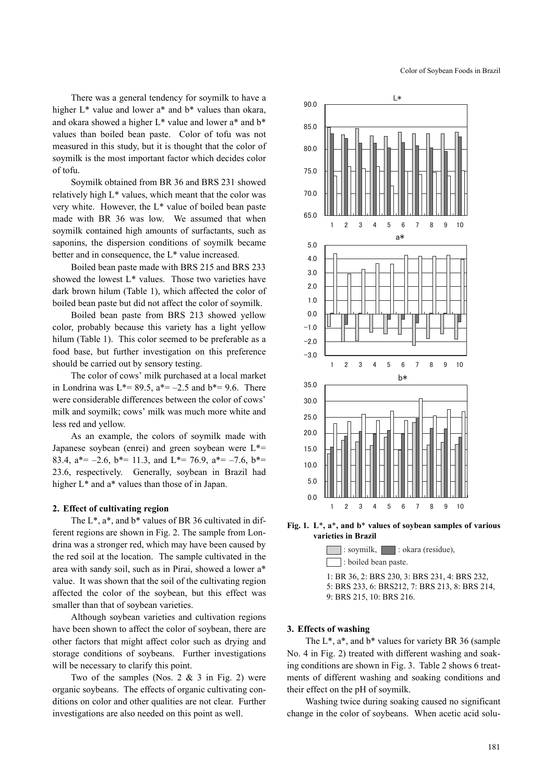There was a general tendency for soymilk to have a higher  $L^*$  value and lower a<sup>\*</sup> and b<sup>\*</sup> values than okara, and okara showed a higher L\* value and lower a\* and b\* values than boiled bean paste. Color of tofu was not measured in this study, but it is thought that the color of soymilk is the most important factor which decides color of tofu.

Soymilk obtained from BR 36 and BRS 231 showed relatively high L\* values, which meant that the color was very white. However, the L\* value of boiled bean paste made with BR 36 was low. We assumed that when soymilk contained high amounts of surfactants, such as saponins, the dispersion conditions of soymilk became better and in consequence, the L\* value increased.

Boiled bean paste made with BRS 215 and BRS 233 showed the lowest L\* values. Those two varieties have dark brown hilum (Table 1), which affected the color of boiled bean paste but did not affect the color of soymilk.

Boiled bean paste from BRS 213 showed yellow color, probably because this variety has a light yellow hilum (Table 1). This color seemed to be preferable as a food base, but further investigation on this preference should be carried out by sensory testing.

The color of cows' milk purchased at a local market in Londrina was  $L^* = 89.5$ ,  $a^* = -2.5$  and  $b^* = 9.6$ . There were considerable differences between the color of cows' milk and soymilk; cows' milk was much more white and less red and yellow.

As an example, the colors of soymilk made with Japanese soybean (enrei) and green soybean were  $L^*$ = 83.4,  $a^* = -2.6$ ,  $b^* = 11.3$ , and  $L^* = 76.9$ ,  $a^* = -7.6$ ,  $b^* =$ 23.6, respectively. Generally, soybean in Brazil had higher  $L^*$  and a<sup>\*</sup> values than those of in Japan.

#### **2. Effect of cultivating region**

The L\*, a\*, and b\* values of BR 36 cultivated in different regions are shown in Fig. 2. The sample from Londrina was a stronger red, which may have been caused by the red soil at the location. The sample cultivated in the area with sandy soil, such as in Pirai, showed a lower a\* value. It was shown that the soil of the cultivating region affected the color of the soybean, but this effect was smaller than that of soybean varieties.

Although soybean varieties and cultivation regions have been shown to affect the color of soybean, there are other factors that might affect color such as drying and storage conditions of soybeans. Further investigations will be necessary to clarify this point.

Two of the samples (Nos.  $2 \& 3$  in Fig. 2) were organic soybeans. The effects of organic cultivating conditions on color and other qualities are not clear. Further investigations are also needed on this point as well.



**Fig. 1. L**\***, a**\***, and b**\* **values of soybean samples of various varieties in Brazil**



#### **3. Effects of washing**

The  $L^*$ ,  $a^*$ , and  $b^*$  values for variety BR 36 (sample No. 4 in Fig. 2) treated with different washing and soaking conditions are shown in Fig. 3. Table 2 shows 6 treatments of different washing and soaking conditions and their effect on the pH of soymilk.

Washing twice during soaking caused no significant change in the color of soybeans. When acetic acid solu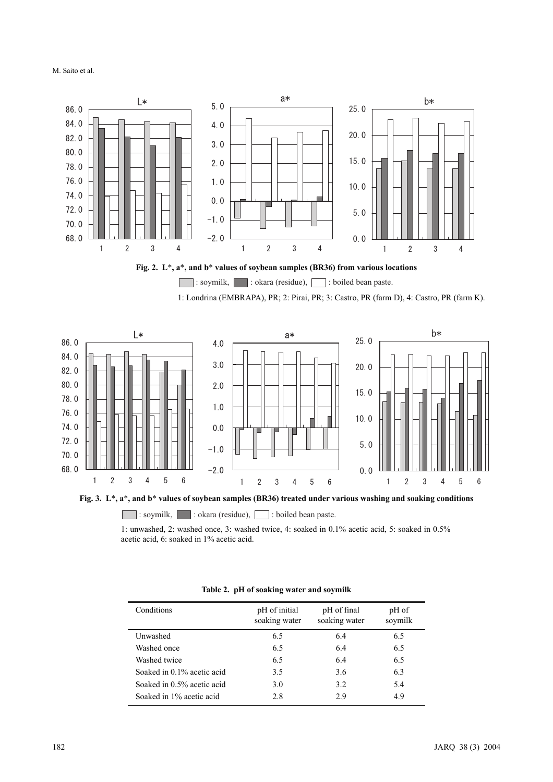M. Saito et al.





: soymilk, : okara (residue), : boiled bean paste.

1: Londrina (EMBRAPA), PR; 2: Pirai, PR; 3: Castro, PR (farm D), 4: Castro, PR (farm K).



**Fig. 3. L**\***, a**\***, and b**\* **values of soybean samples (BR36) treated under various washing and soaking conditions**

: soymilk, : okara (residue),  $\Box$  : boiled bean paste.

1: unwashed, 2: washed once, 3: washed twice, 4: soaked in 0.1% acetic acid, 5: soaked in 0.5% acetic acid, 6: soaked in 1% acetic acid.

| Conditions                 | pH of initial<br>soaking water | pH of final<br>soaking water | pH of<br>soymilk |
|----------------------------|--------------------------------|------------------------------|------------------|
| Unwashed                   | 6.5                            | 6.4                          | 6.5              |
| Washed once                | 6.5                            | 6.4                          | 6.5              |
| Washed twice               | 6.5                            | 6.4                          | 6.5              |
| Soaked in 0.1% acetic acid | 3.5                            | 3.6                          | 6.3              |
| Soaked in 0.5% acetic acid | 3.0                            | 3.2                          | 5.4              |
| Soaked in 1% acetic acid   | 2.8                            | 2.9                          | 4.9              |
|                            |                                |                              |                  |

## **Table 2. pH of soaking water and soymilk**